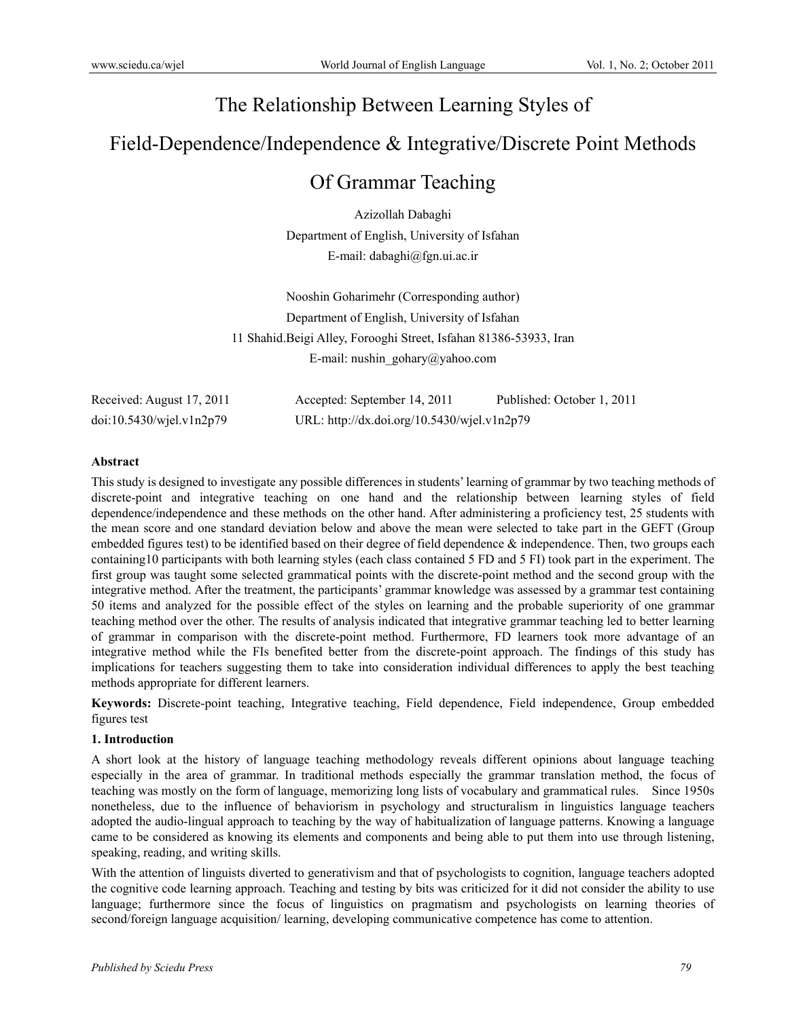# The Relationship Between Learning Styles of

# Field-Dependence/Independence & Integrative/Discrete Point Methods

# Of Grammar Teaching

Azizollah Dabaghi Department of English, University of Isfahan E-mail: dabaghi@fgn.ui.ac.ir

Nooshin Goharimehr (Corresponding author) Department of English, University of Isfahan 11 Shahid.Beigi Alley, Forooghi Street, Isfahan 81386-53933, Iran E-mail: nushin\_gohary@yahoo.com

| Received: August 17, 2011      | Accepted: September 14, 2011                | Published: October 1, 2011 |
|--------------------------------|---------------------------------------------|----------------------------|
| $doi:10.5430/w$ jel.v $1n2p79$ | URL: http://dx.doi.org/10.5430/wjel.v1n2p79 |                            |

# **Abstract**

This study is designed to investigate any possible differences in students' learning of grammar by two teaching methods of discrete-point and integrative teaching on one hand and the relationship between learning styles of field dependence/independence and these methods on the other hand. After administering a proficiency test, 25 students with the mean score and one standard deviation below and above the mean were selected to take part in the GEFT (Group embedded figures test) to be identified based on their degree of field dependence & independence. Then, two groups each containing10 participants with both learning styles (each class contained 5 FD and 5 FI) took part in the experiment. The first group was taught some selected grammatical points with the discrete-point method and the second group with the integrative method. After the treatment, the participants' grammar knowledge was assessed by a grammar test containing 50 items and analyzed for the possible effect of the styles on learning and the probable superiority of one grammar teaching method over the other. The results of analysis indicated that integrative grammar teaching led to better learning of grammar in comparison with the discrete-point method. Furthermore, FD learners took more advantage of an integrative method while the FIs benefited better from the discrete-point approach. The findings of this study has implications for teachers suggesting them to take into consideration individual differences to apply the best teaching methods appropriate for different learners.

**Keywords:** Discrete-point teaching, Integrative teaching, Field dependence, Field independence, Group embedded figures test

# **1. Introduction**

A short look at the history of language teaching methodology reveals different opinions about language teaching especially in the area of grammar. In traditional methods especially the grammar translation method, the focus of teaching was mostly on the form of language, memorizing long lists of vocabulary and grammatical rules. Since 1950s nonetheless, due to the influence of behaviorism in psychology and structuralism in linguistics language teachers adopted the audio-lingual approach to teaching by the way of habitualization of language patterns. Knowing a language came to be considered as knowing its elements and components and being able to put them into use through listening, speaking, reading, and writing skills.

With the attention of linguists diverted to generativism and that of psychologists to cognition, language teachers adopted the cognitive code learning approach. Teaching and testing by bits was criticized for it did not consider the ability to use language; furthermore since the focus of linguistics on pragmatism and psychologists on learning theories of second/foreign language acquisition/ learning, developing communicative competence has come to attention.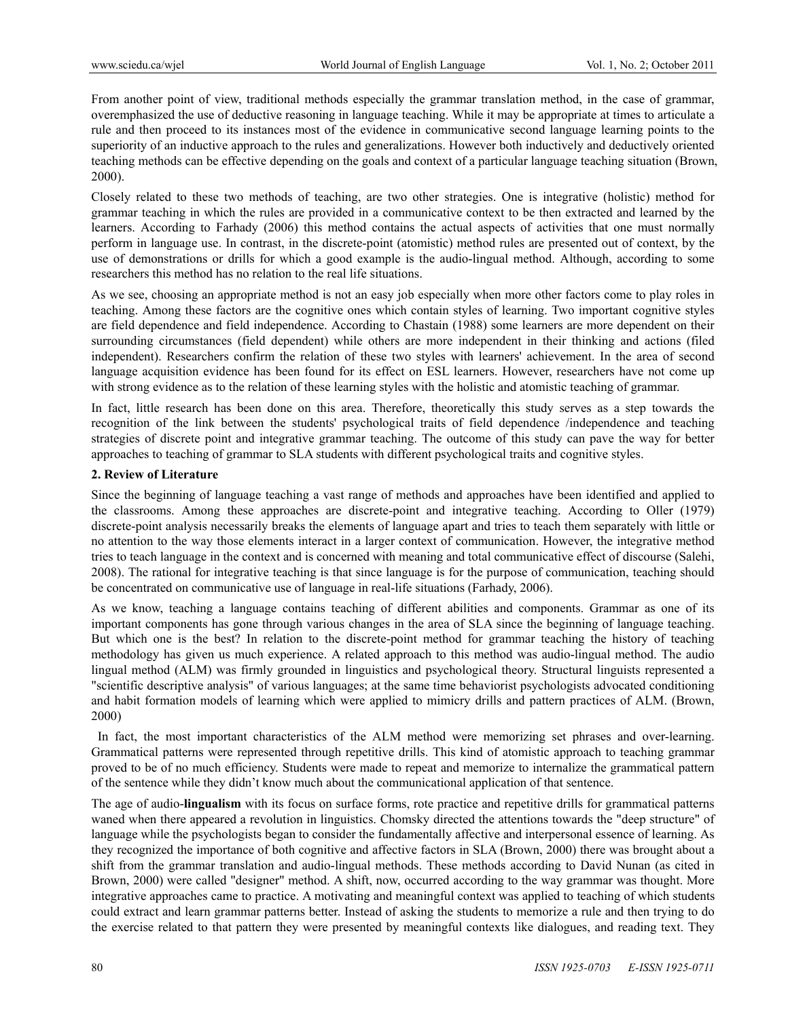From another point of view, traditional methods especially the grammar translation method, in the case of grammar, overemphasized the use of deductive reasoning in language teaching. While it may be appropriate at times to articulate a rule and then proceed to its instances most of the evidence in communicative second language learning points to the superiority of an inductive approach to the rules and generalizations. However both inductively and deductively oriented teaching methods can be effective depending on the goals and context of a particular language teaching situation (Brown, 2000).

Closely related to these two methods of teaching, are two other strategies. One is integrative (holistic) method for grammar teaching in which the rules are provided in a communicative context to be then extracted and learned by the learners. According to Farhady (2006) this method contains the actual aspects of activities that one must normally perform in language use. In contrast, in the discrete-point (atomistic) method rules are presented out of context, by the use of demonstrations or drills for which a good example is the audio-lingual method. Although, according to some researchers this method has no relation to the real life situations.

As we see, choosing an appropriate method is not an easy job especially when more other factors come to play roles in teaching. Among these factors are the cognitive ones which contain styles of learning. Two important cognitive styles are field dependence and field independence. According to Chastain (1988) some learners are more dependent on their surrounding circumstances (field dependent) while others are more independent in their thinking and actions (filed independent). Researchers confirm the relation of these two styles with learners' achievement. In the area of second language acquisition evidence has been found for its effect on ESL learners. However, researchers have not come up with strong evidence as to the relation of these learning styles with the holistic and atomistic teaching of grammar.

In fact, little research has been done on this area. Therefore, theoretically this study serves as a step towards the recognition of the link between the students' psychological traits of field dependence /independence and teaching strategies of discrete point and integrative grammar teaching. The outcome of this study can pave the way for better approaches to teaching of grammar to SLA students with different psychological traits and cognitive styles.

# **2. Review of Literature**

Since the beginning of language teaching a vast range of methods and approaches have been identified and applied to the classrooms. Among these approaches are discrete-point and integrative teaching. According to Oller (1979) discrete-point analysis necessarily breaks the elements of language apart and tries to teach them separately with little or no attention to the way those elements interact in a larger context of communication. However, the integrative method tries to teach language in the context and is concerned with meaning and total communicative effect of discourse (Salehi, 2008). The rational for integrative teaching is that since language is for the purpose of communication, teaching should be concentrated on communicative use of language in real-life situations (Farhady, 2006).

As we know, teaching a language contains teaching of different abilities and components. Grammar as one of its important components has gone through various changes in the area of SLA since the beginning of language teaching. But which one is the best? In relation to the discrete-point method for grammar teaching the history of teaching methodology has given us much experience. A related approach to this method was audio-lingual method. The audio lingual method (ALM) was firmly grounded in linguistics and psychological theory. Structural linguists represented a "scientific descriptive analysis" of various languages; at the same time behaviorist psychologists advocated conditioning and habit formation models of learning which were applied to mimicry drills and pattern practices of ALM. (Brown, 2000)

 In fact, the most important characteristics of the ALM method were memorizing set phrases and over-learning. Grammatical patterns were represented through repetitive drills. This kind of atomistic approach to teaching grammar proved to be of no much efficiency. Students were made to repeat and memorize to internalize the grammatical pattern of the sentence while they didn't know much about the communicational application of that sentence.

The age of audio-**lingualism** with its focus on surface forms, rote practice and repetitive drills for grammatical patterns waned when there appeared a revolution in linguistics. Chomsky directed the attentions towards the "deep structure" of language while the psychologists began to consider the fundamentally affective and interpersonal essence of learning. As they recognized the importance of both cognitive and affective factors in SLA (Brown, 2000) there was brought about a shift from the grammar translation and audio-lingual methods. These methods according to David Nunan (as cited in Brown, 2000) were called "designer" method. A shift, now, occurred according to the way grammar was thought. More integrative approaches came to practice. A motivating and meaningful context was applied to teaching of which students could extract and learn grammar patterns better. Instead of asking the students to memorize a rule and then trying to do the exercise related to that pattern they were presented by meaningful contexts like dialogues, and reading text. They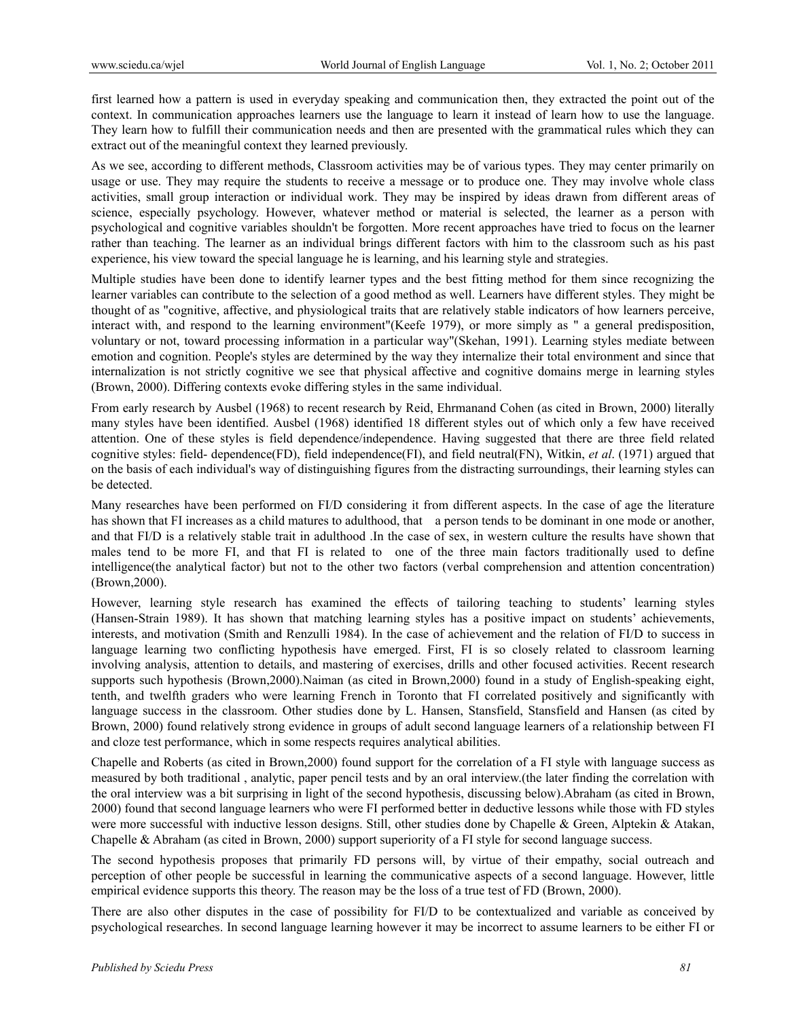first learned how a pattern is used in everyday speaking and communication then, they extracted the point out of the context. In communication approaches learners use the language to learn it instead of learn how to use the language. They learn how to fulfill their communication needs and then are presented with the grammatical rules which they can extract out of the meaningful context they learned previously.

As we see, according to different methods, Classroom activities may be of various types. They may center primarily on usage or use. They may require the students to receive a message or to produce one. They may involve whole class activities, small group interaction or individual work. They may be inspired by ideas drawn from different areas of science, especially psychology. However, whatever method or material is selected, the learner as a person with psychological and cognitive variables shouldn't be forgotten. More recent approaches have tried to focus on the learner rather than teaching. The learner as an individual brings different factors with him to the classroom such as his past experience, his view toward the special language he is learning, and his learning style and strategies.

Multiple studies have been done to identify learner types and the best fitting method for them since recognizing the learner variables can contribute to the selection of a good method as well. Learners have different styles. They might be thought of as "cognitive, affective, and physiological traits that are relatively stable indicators of how learners perceive, interact with, and respond to the learning environment"(Keefe 1979), or more simply as " a general predisposition, voluntary or not, toward processing information in a particular way"(Skehan, 1991). Learning styles mediate between emotion and cognition. People's styles are determined by the way they internalize their total environment and since that internalization is not strictly cognitive we see that physical affective and cognitive domains merge in learning styles (Brown, 2000). Differing contexts evoke differing styles in the same individual.

From early research by Ausbel (1968) to recent research by Reid, Ehrmanand Cohen (as cited in Brown, 2000) literally many styles have been identified. Ausbel (1968) identified 18 different styles out of which only a few have received attention. One of these styles is field dependence/independence. Having suggested that there are three field related cognitive styles: field- dependence(FD), field independence(FI), and field neutral(FN), Witkin, *et al*. (1971) argued that on the basis of each individual's way of distinguishing figures from the distracting surroundings, their learning styles can be detected.

Many researches have been performed on FI/D considering it from different aspects. In the case of age the literature has shown that FI increases as a child matures to adulthood, that a person tends to be dominant in one mode or another, and that FI/D is a relatively stable trait in adulthood .In the case of sex, in western culture the results have shown that males tend to be more FI, and that FI is related to one of the three main factors traditionally used to define intelligence(the analytical factor) but not to the other two factors (verbal comprehension and attention concentration) (Brown,2000).

However, learning style research has examined the effects of tailoring teaching to students' learning styles (Hansen-Strain 1989). It has shown that matching learning styles has a positive impact on students' achievements, interests, and motivation (Smith and Renzulli 1984). In the case of achievement and the relation of FI/D to success in language learning two conflicting hypothesis have emerged. First, FI is so closely related to classroom learning involving analysis, attention to details, and mastering of exercises, drills and other focused activities. Recent research supports such hypothesis (Brown,2000).Naiman (as cited in Brown,2000) found in a study of English-speaking eight, tenth, and twelfth graders who were learning French in Toronto that FI correlated positively and significantly with language success in the classroom. Other studies done by L. Hansen, Stansfield, Stansfield and Hansen (as cited by Brown, 2000) found relatively strong evidence in groups of adult second language learners of a relationship between FI and cloze test performance, which in some respects requires analytical abilities.

Chapelle and Roberts (as cited in Brown,2000) found support for the correlation of a FI style with language success as measured by both traditional , analytic, paper pencil tests and by an oral interview.(the later finding the correlation with the oral interview was a bit surprising in light of the second hypothesis, discussing below).Abraham (as cited in Brown, 2000) found that second language learners who were FI performed better in deductive lessons while those with FD styles were more successful with inductive lesson designs. Still, other studies done by Chapelle & Green, Alptekin & Atakan, Chapelle & Abraham (as cited in Brown, 2000) support superiority of a FI style for second language success.

The second hypothesis proposes that primarily FD persons will, by virtue of their empathy, social outreach and perception of other people be successful in learning the communicative aspects of a second language. However, little empirical evidence supports this theory. The reason may be the loss of a true test of FD (Brown, 2000).

There are also other disputes in the case of possibility for FI/D to be contextualized and variable as conceived by psychological researches. In second language learning however it may be incorrect to assume learners to be either FI or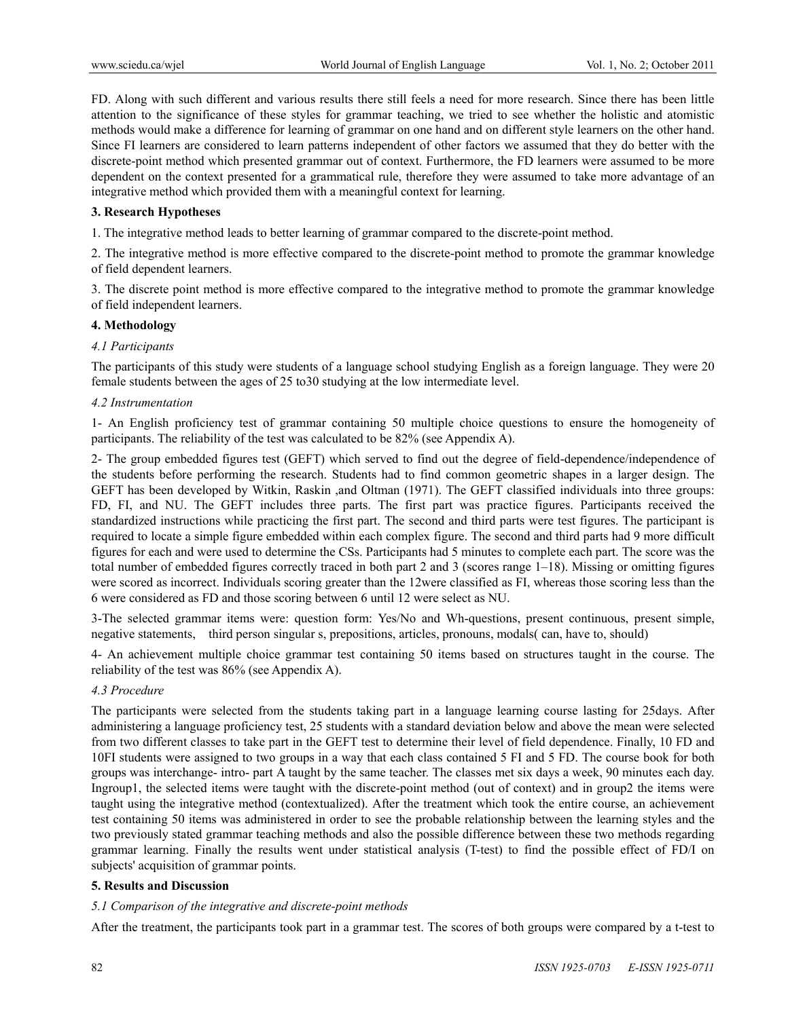FD. Along with such different and various results there still feels a need for more research. Since there has been little attention to the significance of these styles for grammar teaching, we tried to see whether the holistic and atomistic methods would make a difference for learning of grammar on one hand and on different style learners on the other hand. Since FI learners are considered to learn patterns independent of other factors we assumed that they do better with the discrete-point method which presented grammar out of context. Furthermore, the FD learners were assumed to be more dependent on the context presented for a grammatical rule, therefore they were assumed to take more advantage of an integrative method which provided them with a meaningful context for learning.

# **3. Research Hypotheses**

1. The integrative method leads to better learning of grammar compared to the discrete-point method.

2. The integrative method is more effective compared to the discrete-point method to promote the grammar knowledge of field dependent learners.

3. The discrete point method is more effective compared to the integrative method to promote the grammar knowledge of field independent learners.

### **4. Methodology**

# *4.1 Participants*

The participants of this study were students of a language school studying English as a foreign language. They were 20 female students between the ages of 25 to30 studying at the low intermediate level.

### *4.2 Instrumentation*

1- An English proficiency test of grammar containing 50 multiple choice questions to ensure the homogeneity of participants. The reliability of the test was calculated to be 82% (see Appendix A).

2- The group embedded figures test (GEFT) which served to find out the degree of field-dependence/independence of the students before performing the research. Students had to find common geometric shapes in a larger design. The GEFT has been developed by Witkin, Raskin ,and Oltman (1971). The GEFT classified individuals into three groups: FD, FI, and NU. The GEFT includes three parts. The first part was practice figures. Participants received the standardized instructions while practicing the first part. The second and third parts were test figures. The participant is required to locate a simple figure embedded within each complex figure. The second and third parts had 9 more difficult figures for each and were used to determine the CSs. Participants had 5 minutes to complete each part. The score was the total number of embedded figures correctly traced in both part 2 and 3 (scores range 1–18). Missing or omitting figures were scored as incorrect. Individuals scoring greater than the 12were classified as FI, whereas those scoring less than the 6 were considered as FD and those scoring between 6 until 12 were select as NU.

3-The selected grammar items were: question form: Yes/No and Wh-questions, present continuous, present simple, negative statements, third person singular s, prepositions, articles, pronouns, modals( can, have to, should)

4- An achievement multiple choice grammar test containing 50 items based on structures taught in the course. The reliability of the test was 86% (see Appendix A).

### *4.3 Procedure*

The participants were selected from the students taking part in a language learning course lasting for 25days. After administering a language proficiency test, 25 students with a standard deviation below and above the mean were selected from two different classes to take part in the GEFT test to determine their level of field dependence. Finally, 10 FD and 10FI students were assigned to two groups in a way that each class contained 5 FI and 5 FD. The course book for both groups was interchange- intro- part A taught by the same teacher. The classes met six days a week, 90 minutes each day. Ingroup1, the selected items were taught with the discrete-point method (out of context) and in group2 the items were taught using the integrative method (contextualized). After the treatment which took the entire course, an achievement test containing 50 items was administered in order to see the probable relationship between the learning styles and the two previously stated grammar teaching methods and also the possible difference between these two methods regarding grammar learning. Finally the results went under statistical analysis (T-test) to find the possible effect of FD/I on subjects' acquisition of grammar points.

# **5. Results and Discussion**

## *5.1 Comparison of the integrative and discrete-point methods*

After the treatment, the participants took part in a grammar test. The scores of both groups were compared by a t-test to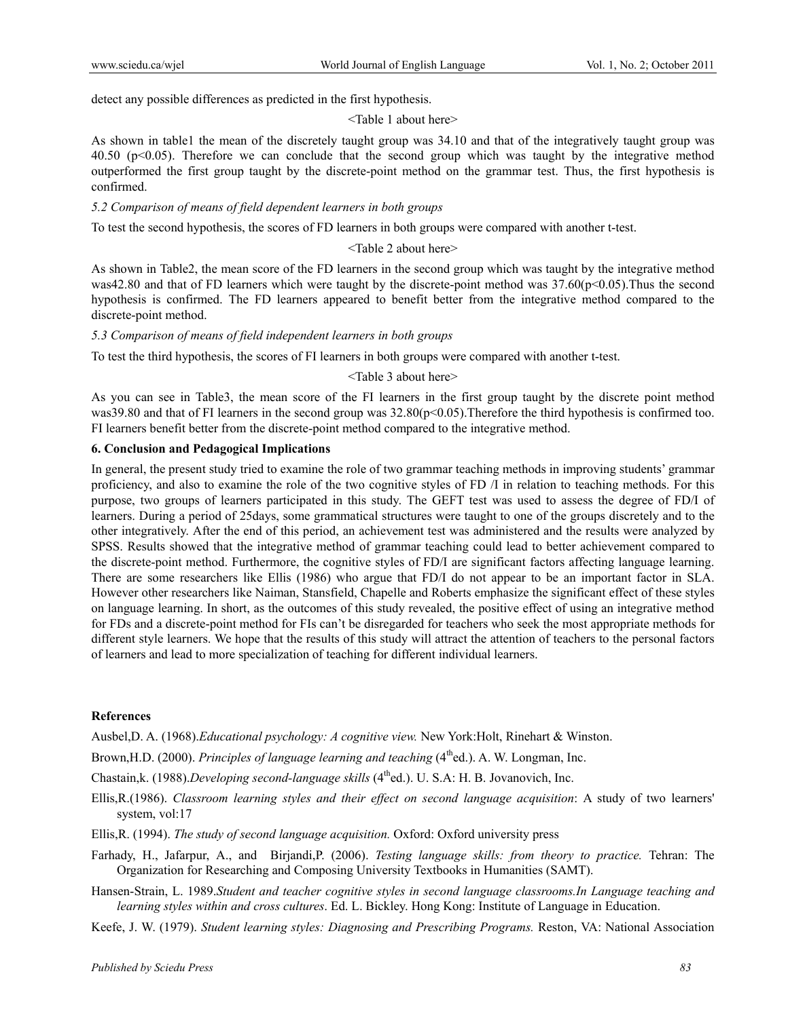detect any possible differences as predicted in the first hypothesis.

# <Table 1 about here>

As shown in table1 the mean of the discretely taught group was 34.10 and that of the integratively taught group was 40.50 ( $p<0.05$ ). Therefore we can conclude that the second group which was taught by the integrative method outperformed the first group taught by the discrete-point method on the grammar test. Thus, the first hypothesis is confirmed.

# *5.2 Comparison of means of field dependent learners in both groups*

To test the second hypothesis, the scores of FD learners in both groups were compared with another t-test.

# <Table 2 about here>

As shown in Table2, the mean score of the FD learners in the second group which was taught by the integrative method was42.80 and that of FD learners which were taught by the discrete-point method was 37.60(p<0.05). Thus the second hypothesis is confirmed. The FD learners appeared to benefit better from the integrative method compared to the discrete-point method.

# *5.3 Comparison of means of field independent learners in both groups*

To test the third hypothesis, the scores of FI learners in both groups were compared with another t-test.

# <Table 3 about here>

As you can see in Table3, the mean score of the FI learners in the first group taught by the discrete point method was39.80 and that of FI learners in the second group was  $32.80(p<0.05)$ . Therefore the third hypothesis is confirmed too. FI learners benefit better from the discrete-point method compared to the integrative method.

# **6. Conclusion and Pedagogical Implications**

In general, the present study tried to examine the role of two grammar teaching methods in improving students' grammar proficiency, and also to examine the role of the two cognitive styles of FD /I in relation to teaching methods. For this purpose, two groups of learners participated in this study. The GEFT test was used to assess the degree of FD/I of learners. During a period of 25days, some grammatical structures were taught to one of the groups discretely and to the other integratively. After the end of this period, an achievement test was administered and the results were analyzed by SPSS. Results showed that the integrative method of grammar teaching could lead to better achievement compared to the discrete-point method. Furthermore, the cognitive styles of FD/I are significant factors affecting language learning. There are some researchers like Ellis (1986) who argue that FD/I do not appear to be an important factor in SLA. However other researchers like Naiman, Stansfield, Chapelle and Roberts emphasize the significant effect of these styles on language learning. In short, as the outcomes of this study revealed, the positive effect of using an integrative method for FDs and a discrete-point method for FIs can't be disregarded for teachers who seek the most appropriate methods for different style learners. We hope that the results of this study will attract the attention of teachers to the personal factors of learners and lead to more specialization of teaching for different individual learners.

### **References**

Ausbel,D. A. (1968).*Educational psychology: A cognitive view.* New York:Holt, Rinehart & Winston.

Brown, H.D. (2000). *Principles of language learning and teaching* (4<sup>th</sup>ed.). A. W. Longman, Inc.

Chastain,k. (1988).*Developing second-language skills* (4<sup>th</sup>ed.). U. S.A: H. B. Jovanovich, Inc.

- Ellis,R.(1986). *Classroom learning styles and their effect on second language acquisition*: A study of two learners' system, vol:17
- Ellis,R. (1994). *The study of second language acquisition.* Oxford: Oxford university press
- Farhady, H., Jafarpur, A., and Birjandi,P. (2006). *Testing language skills: from theory to practice.* Tehran: The Organization for Researching and Composing University Textbooks in Humanities (SAMT).

Hansen-Strain, L. 1989.*Student and teacher cognitive styles in second language classrooms.In Language teaching and learning styles within and cross cultures*. Ed. L. Bickley. Hong Kong: Institute of Language in Education.

Keefe, J. W. (1979). *Student learning styles: Diagnosing and Prescribing Programs.* Reston, VA: National Association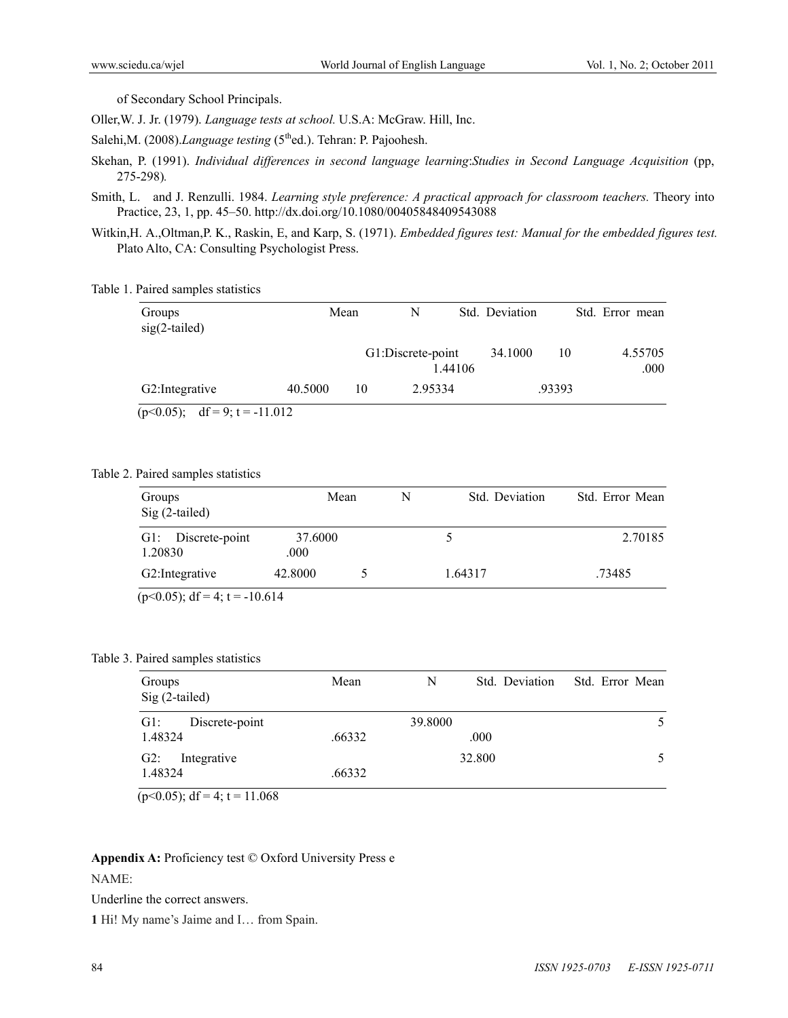of Secondary School Principals.

Oller,W. J. Jr. (1979). *Language tests at school.* U.S.A: McGraw. Hill, Inc.

Salehi, M. (2008).*Language testing* (5<sup>th</sup>ed.). Tehran: P. Pajoohesh.

- Skehan, P. (1991). *Individual differences in second language learning*:*Studies in Second Language Acquisition* (pp, 275-298)*.*
- Smith, L. and J. Renzulli. 1984. *Learning style preference: A practical approach for classroom teachers.* Theory into Practice, 23, 1, pp. 45–50. http://dx.doi.org/10.1080/00405848409543088
- Witkin,H. A.,Oltman,P. K., Raskin, E, and Karp, S. (1971). *Embedded figures test: Manual for the embedded figures test.*  Plato Alto, CA: Consulting Psychologist Press.

### Table 1. Paired samples statistics

| Groups<br>$sig(2-tailed)$        |         | Mean | N                 |         | Std. Deviation |        | Std. Error mean |
|----------------------------------|---------|------|-------------------|---------|----------------|--------|-----------------|
|                                  |         |      | G1:Discrete-point | 1.44106 | 34.1000        | 10     | 4.55705<br>.000 |
| G2:Integrative                   | 40.5000 |      | 10                | 2.95334 |                | .93393 |                 |
| $(p<0.05)$ ; df = 9; t = -11.012 |         |      |                   |         |                |        |                 |

#### Table 2. Paired samples statistics

| Groups<br>$Sig(2-tailed)$     | Mean            | N | Std. Deviation | Std. Error Mean |
|-------------------------------|-----------------|---|----------------|-----------------|
| G1: Discrete-point<br>1.20830 | 37.6000<br>.000 |   |                | 2.70185         |
| G2:Integrative                | 42.8000         |   | 1.64317        | .73485          |

 $(p<0.05)$ ; df = 4; t = -10.614

### Table 3. Paired samples statistics

| Groups<br>$Sig(2-tailed)$ | Mean   | N       | Std. Deviation | Std. Error Mean |
|---------------------------|--------|---------|----------------|-----------------|
| Discrete-point<br>$G1$ :  |        | 39.8000 |                | 5               |
| 1.48324                   | .66332 |         | .000           |                 |
| Integrative<br>$G2$ :     |        |         | 32.800         | 5               |
| 1.48324                   | .66332 |         |                |                 |

 $(p<0.05)$ ; df = 4; t = 11.068

## **Appendix A:** Proficiency test © Oxford University Press e

NAME:

Underline the correct answers.

**1** Hi! My name's Jaime and I… from Spain.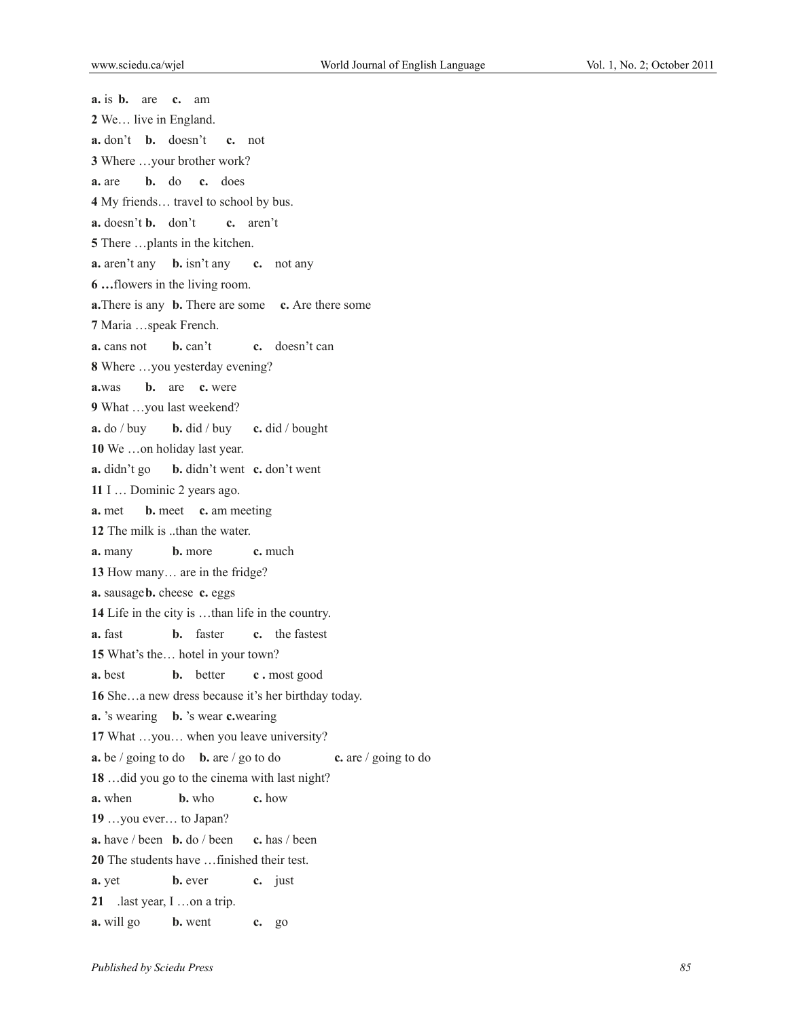**a.** is **b.** are **c.** am **2** We… live in England. **a.** don't **b.** doesn't **c.** not **3** Where …your brother work? **a.** are **b.** do **c.** does **4** My friends… travel to school by bus. **a.** doesn't **b.** don't **c.** aren't **5** There …plants in the kitchen. **a.** aren't any **b.** isn't any **c.** not any **6 …**flowers in the living room. **a.**There is any **b.** There are some **c.** Are there some **7** Maria …speak French. **a.** cans not **b.** can't **c.** doesn't can **8** Where …you yesterday evening? **a.**was **b.** are **c.** were **9** What …you last weekend? **a.** do / buy **b.** did / buy **c.** did / bought **10** We …on holiday last year. **a.** didn't go **b.** didn't went **c.** don't went **11** I … Dominic 2 years ago. **a.** met **b.** meet **c.** am meeting **12** The milk is ..than the water. **a.** many **b.** more **c.** much **13** How many… are in the fridge? **a.** sausage **b.** cheese **c.** eggs **14** Life in the city is …than life in the country. **a.** fast **b.** faster **c.** the fastest **15** What's the… hotel in your town? **a.** best **b.** better **c** . most good **16** She…a new dress because it's her birthday today. **a.** 's wearing **b.** 's wear **c.**wearing **17** What …you… when you leave university? **a.** be / going to do **b.** are / go to do **c.** are / going to do **18** …did you go to the cinema with last night? **a.** when **b.** who **c.** how **19** …you ever… to Japan? **a.** have / been **b.** do / been **c.** has / been **20** The students have …finished their test. **a.** yet **b.** ever **c.** just **21** .last year, I …on a trip. **a.** will go **b.** went **c.** go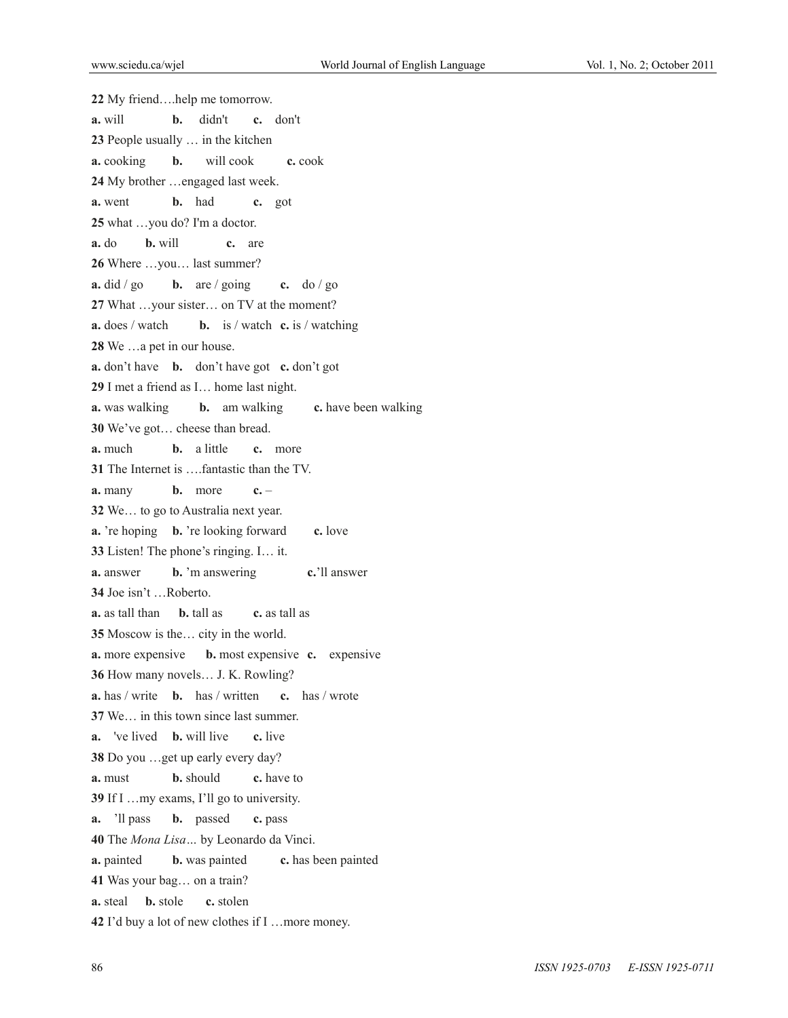**22** My friend….help me tomorrow. **a.** will **b.** didn't **c.** don't **23** People usually … in the kitchen **a.** cooking **b.** will cook **c.** cook **24** My brother …engaged last week. **a.** went **b.** had **c.** got **25** what …you do? I'm a doctor. **a.** do **b.** will **c.** are **26** Where …you… last summer? **a.**  $\frac{di}{d}$  / go **b.** are / going **c.**  $\frac{d}{d}$  / go **27** What …your sister… on TV at the moment? **a.** does / watch **b.** is / watch **c.** is / watching **28** We …a pet in our house. **a.** don't have **b.** don't have got **c.** don't got **29** I met a friend as I… home last night. **a.** was walking **b.** am walking **c.** have been walking **30** We've got… cheese than bread. **a.** much **b.** a little **c.** more **31** The Internet is ….fantastic than the TV. **a.** many **b.** more **c.** – **32** We… to go to Australia next year. **a.** 're hoping **b.** 're looking forward **c.** love **33** Listen! The phone's ringing. I… it. **a.** answer **b.** 'm answering **c.**'ll answer **34** Joe isn't …Roberto. **a.** as tall than **b.** tall as **c.** as tall as **35** Moscow is the… city in the world. **a.** more expensive **b.** most expensive **c.** expensive **36** How many novels… J. K. Rowling? **a.** has / write **b.** has / written **c.** has / wrote **37** We… in this town since last summer. **a.** 've lived **b.** will live **c.** live **38** Do you …get up early every day? **a.** must **b.** should **c.** have to **39** If I …my exams, I'll go to university. **a.** 'll pass **b.** passed **c.** pass **40** The *Mona Lisa…* by Leonardo da Vinci. **a.** painted **b.** was painted **c.** has been painted **41** Was your bag… on a train? **a.** steal **b.** stole **c.** stolen **42** I'd buy a lot of new clothes if I …more money.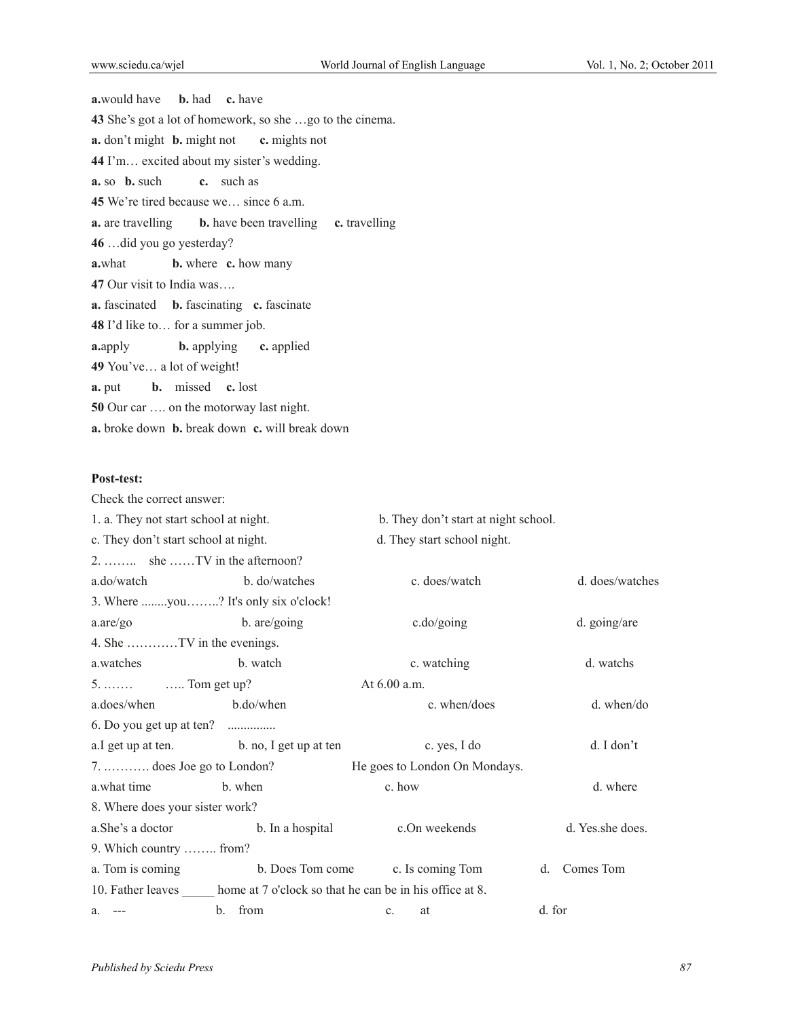**a.**would have **b.** had **c.** have **43** She's got a lot of homework, so she …go to the cinema. **a.** don't might **b.** might not **c.** mights not **44** I'm… excited about my sister's wedding. **a.** so **b.** such **c.** such as **45** We're tired because we… since 6 a.m. **a.** are travelling **b.** have been travelling **c.** travelling **46** …did you go yesterday? **a.**what **b.** where **c.** how many **47** Our visit to India was…. **a.** fascinated **b.** fascinating **c.** fascinate **48** I'd like to… for a summer job. **a.**apply **b.** applying **c.** applied **49** You've… a lot of weight! **a.** put **b.** missed **c.** lost **50** Our car …. on the motorway last night. **a.** broke down **b.** break down **c.** will break down

#### **Post-test:**

| Check the correct answer:             |                                           |                                                                           |        |                  |
|---------------------------------------|-------------------------------------------|---------------------------------------------------------------------------|--------|------------------|
| 1. a. They not start school at night. |                                           | b. They don't start at night school.                                      |        |                  |
| c. They don't start school at night.  |                                           | d. They start school night.                                               |        |                  |
| 2.  she TV in the afternoon?          |                                           |                                                                           |        |                  |
| a.do/watch                            | b. do/watches                             | c. does/watch                                                             |        | d. does/watches  |
|                                       | 3. Where you? It's only six o'clock!      |                                                                           |        |                  |
| a.are/go b. are/going                 |                                           | c.do/going                                                                |        | d. going/are     |
| 4. She TV in the evenings.            |                                           |                                                                           |        |                  |
| a.watches                             | b. watch                                  | c. watching                                                               |        | d. watchs        |
| $5. \dots \dots$ $\dots$ Tom get up?  |                                           | At $6.00$ a.m.                                                            |        |                  |
| a.does/when b.do/when                 |                                           | c. when/does                                                              |        | d. when/do       |
| 6. Do you get up at ten?              |                                           |                                                                           |        |                  |
|                                       | a.I get up at ten. b. no, I get up at ten | c. yes, I do                                                              |        | $d.$ I don't     |
|                                       |                                           | 7.  does Joe go to London? He goes to London On Mondays.                  |        |                  |
| a what time                           | b. when                                   | c. how                                                                    |        | d. where         |
| 8. Where does your sister work?       |                                           |                                                                           |        |                  |
|                                       | a. She's a doctor b. In a hospital        | c.On weekends                                                             |        | d. Yes she does. |
| 9. Which country  from?               |                                           |                                                                           |        |                  |
|                                       |                                           | a. Tom is coming b. Does Tom come c. Is coming Tom                        |        | d. Comes Tom     |
|                                       |                                           | 10. Father leaves home at 7 o'clock so that he can be in his office at 8. |        |                  |
| a.                                    | b. from                                   | $c_{\cdot}$<br>at                                                         | d. for |                  |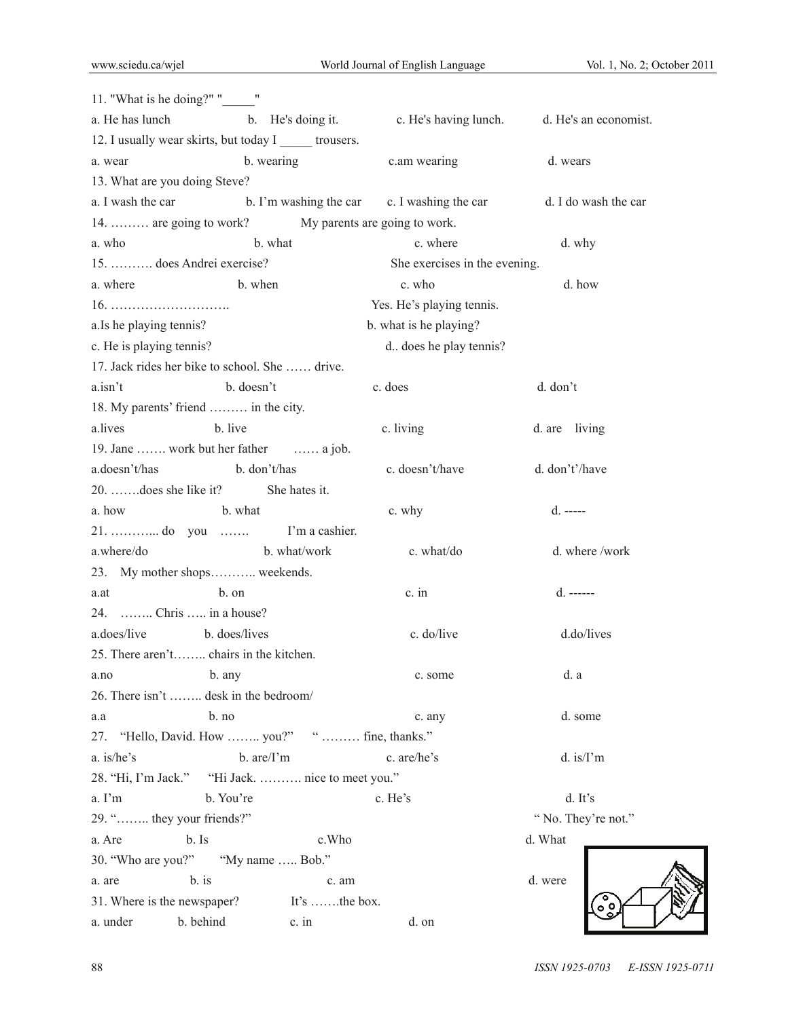| 11. "What is he doing?" "               |                                                         |                                                         |                       |
|-----------------------------------------|---------------------------------------------------------|---------------------------------------------------------|-----------------------|
|                                         |                                                         | a. He has lunch b. He's doing it. c. He's having lunch. | d. He's an economist. |
|                                         | 12. I usually wear skirts, but today I ______ trousers. |                                                         |                       |
| a. wear                                 | b. wearing                                              | c.am wearing                                            | d. wears              |
| 13. What are you doing Steve?           |                                                         |                                                         |                       |
| a. I wash the car                       |                                                         | b. I'm washing the car c. I washing the car             | d. I do wash the car  |
|                                         | 14.  are going to work? My parents are going to work.   |                                                         |                       |
| a. who                                  | b. what                                                 | c. where                                                | d. why                |
| 15.  does Andrei exercise?              |                                                         | She exercises in the evening.                           |                       |
| a. where                                | b. when                                                 | c. who                                                  | d. how                |
|                                         |                                                         | Yes. He's playing tennis.                               |                       |
| a. Is he playing tennis?                |                                                         | b. what is he playing?                                  |                       |
| c. He is playing tennis?                |                                                         | d. does he play tennis?                                 |                       |
|                                         | 17. Jack rides her bike to school. She  drive.          |                                                         |                       |
| a.isn't                                 | b. doesn't                                              | c. does                                                 | d. don't              |
| 18. My parents' friend  in the city.    |                                                         |                                                         |                       |
| a.lives                                 | b. live                                                 | c. living                                               | d. are living         |
|                                         | 19. Jane  work but her father  a job.                   |                                                         |                       |
| a.doesn't/has                           | $b.$ don't/has                                          | c. doesn't/have                                         | d. don't'/have        |
| 20. does she like it? She hates it.     |                                                         |                                                         |                       |
| a. how                                  | b. what                                                 | c. why                                                  | $d.$ -----            |
|                                         | 21.  do you  I'm a cashier.                             |                                                         |                       |
| a.where/do                              | b. what/work                                            | c. what/do                                              | d. where /work        |
| 23. My mother shops weekends.           |                                                         |                                                         |                       |
| a.at                                    | b. on                                                   | $c$ . in                                                | $d.$ ------           |
| 24.  Chris  in a house?                 |                                                         |                                                         |                       |
| b. does/lives<br>a.does/live            |                                                         | c. do/live                                              | d.do/lives            |
| 25. There aren't chairs in the kitchen. |                                                         |                                                         |                       |
| a.no                                    | b. any                                                  | c. some                                                 | d. a                  |
| 26. There isn't  desk in the bedroom/   |                                                         |                                                         |                       |
| a.a                                     | b. no                                                   | c. any                                                  | d. some               |
|                                         | 27. "Hello, David. How  you?" "  fine, thanks."         |                                                         |                       |
| a. is/he's                              | b. are/I'm                                              | c. are/he's                                             | $d.$ is/I'm           |
|                                         | 28. "Hi, I'm Jack." "Hi Jack.  nice to meet you."       |                                                         |                       |
| a. I'm                                  | b. You're                                               | c. He's                                                 | d. It's               |
| 29. " they your friends?"               |                                                         |                                                         | "No. They're not."    |
| b. Is<br>a. Are                         | c.Who                                                   |                                                         | d. What               |
| 30. "Who are you?" "My name  Bob."      |                                                         |                                                         |                       |
| $b.$ is<br>a. are                       | c. am                                                   |                                                         | d. were               |
| 31. Where is the newspaper?             | It's the box.                                           |                                                         |                       |
| b. behind<br>a. under                   | c. in                                                   | d. on                                                   |                       |